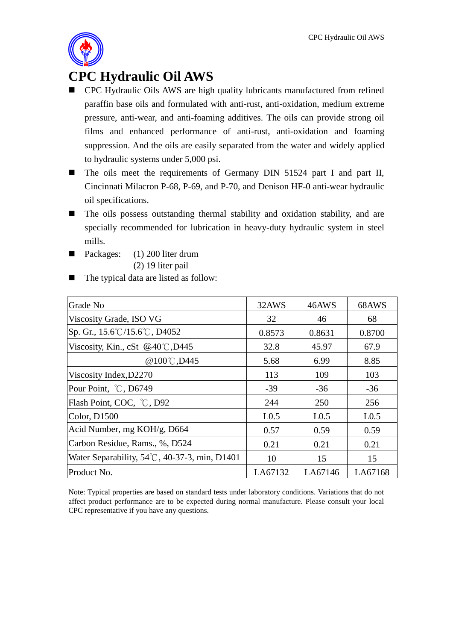

## **CPC Hydraulic Oil AWS**

- CPC Hydraulic Oils AWS are high quality lubricants manufactured from refined paraffin base oils and formulated with anti-rust, anti-oxidation, medium extreme pressure, anti-wear, and anti-foaming additives. The oils can provide strong oil films and enhanced performance of anti-rust, anti-oxidation and foaming suppression. And the oils are easily separated from the water and widely applied to hydraulic systems under 5,000 psi.
- The oils meet the requirements of Germany DIN 51524 part I and part II, Cincinnati Milacron P-68, P-69, and P-70, and Denison HF-0 anti-wear hydraulic oil specifications.
- The oils possess outstanding thermal stability and oxidation stability, and are specially recommended for lubrication in heavy-duty hydraulic system in steel mills.
- Packages:  $(1)$  200 liter drum (2) 19 liter pail
- The typical data are listed as follow:

| Grade No                                                | 32AWS            | 46AWS            | 68AWS            |
|---------------------------------------------------------|------------------|------------------|------------------|
| Viscosity Grade, ISO VG                                 | 32               | 46               | 68               |
| Sp. Gr., $15.6^{\circ}$ C/15.6 $^{\circ}$ C, D4052      | 0.8573           | 0.8631           | 0.8700           |
| Viscosity, Kin., cSt $@40^{\circ}$ C, D445              | 32.8             | 45.97            | 67.9             |
| @100°C, D445                                            | 5.68             | 6.99             | 8.85             |
| Viscosity Index, D2270                                  | 113              | 109              | 103              |
| Pour Point, °C, D6749                                   | $-39$            | $-36$            | $-36$            |
| Flash Point, COC, °C, D92                               | 244              | 250              | 256              |
| Color, D1500                                            | L <sub>0.5</sub> | L <sub>0.5</sub> | L <sub>0.5</sub> |
| Acid Number, mg KOH/g, D664                             | 0.57             | 0.59             | 0.59             |
| Carbon Residue, Rams., %, D524                          | 0.21             | 0.21             | 0.21             |
| Water Separability, $54^{\circ}$ C, 40-37-3, min, D1401 | 10               | 15               | 15               |
| Product No.                                             | LA67132          | LA67146          | LA67168          |

Note: Typical properties are based on standard tests under laboratory conditions. Variations that do not affect product performance are to be expected during normal manufacture. Please consult your local CPC representative if you have any questions.